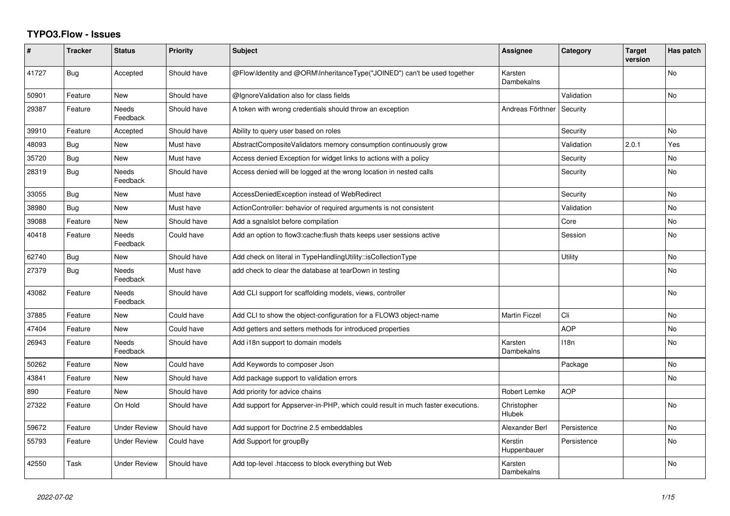## **TYPO3.Flow - Issues**

| ∦     | <b>Tracker</b> | <b>Status</b>       | <b>Priority</b> | <b>Subject</b>                                                                  | Assignee               | Category    | <b>Target</b><br>version | Has patch      |
|-------|----------------|---------------------|-----------------|---------------------------------------------------------------------------------|------------------------|-------------|--------------------------|----------------|
| 41727 | Bug            | Accepted            | Should have     | @Flow\Identity and @ORM\InheritanceType("JOINED") can't be used together        | Karsten<br>Dambekalns  |             |                          | <b>No</b>      |
| 50901 | Feature        | <b>New</b>          | Should have     | @IgnoreValidation also for class fields                                         |                        | Validation  |                          | No             |
| 29387 | Feature        | Needs<br>Feedback   | Should have     | A token with wrong credentials should throw an exception                        | Andreas Förthner       | Security    |                          |                |
| 39910 | Feature        | Accepted            | Should have     | Ability to query user based on roles                                            |                        | Security    |                          | <b>No</b>      |
| 48093 | Bug            | <b>New</b>          | Must have       | AbstractCompositeValidators memory consumption continuously grow                |                        | Validation  | 2.0.1                    | Yes            |
| 35720 | Bug            | New                 | Must have       | Access denied Exception for widget links to actions with a policy               |                        | Security    |                          | No             |
| 28319 | <b>Bug</b>     | Needs<br>Feedback   | Should have     | Access denied will be logged at the wrong location in nested calls              |                        | Security    |                          | No             |
| 33055 | Bug            | <b>New</b>          | Must have       | AccessDeniedException instead of WebRedirect                                    |                        | Security    |                          | No             |
| 38980 | <b>Bug</b>     | <b>New</b>          | Must have       | ActionController: behavior of required arguments is not consistent              |                        | Validation  |                          | No             |
| 39088 | Feature        | <b>New</b>          | Should have     | Add a sgnalslot before compilation                                              |                        | Core        |                          | No             |
| 40418 | Feature        | Needs<br>Feedback   | Could have      | Add an option to flow3: cache: flush thats keeps user sessions active           |                        | Session     |                          | <b>No</b>      |
| 62740 | Bug            | <b>New</b>          | Should have     | Add check on literal in TypeHandlingUtility::isCollectionType                   |                        | Utility     |                          | <b>No</b>      |
| 27379 | Bug            | Needs<br>Feedback   | Must have       | add check to clear the database at tearDown in testing                          |                        |             |                          | No.            |
| 43082 | Feature        | Needs<br>Feedback   | Should have     | Add CLI support for scaffolding models, views, controller                       |                        |             |                          | <b>No</b>      |
| 37885 | Feature        | <b>New</b>          | Could have      | Add CLI to show the object-configuration for a FLOW3 object-name                | <b>Martin Ficzel</b>   | Cli         |                          | No             |
| 47404 | Feature        | <b>New</b>          | Could have      | Add getters and setters methods for introduced properties                       |                        | <b>AOP</b>  |                          | N <sub>o</sub> |
| 26943 | Feature        | Needs<br>Feedback   | Should have     | Add i18n support to domain models                                               | Karsten<br>Dambekalns  | 118n        |                          | No             |
| 50262 | Feature        | <b>New</b>          | Could have      | Add Keywords to composer Json                                                   |                        | Package     |                          | No.            |
| 43841 | Feature        | <b>New</b>          | Should have     | Add package support to validation errors                                        |                        |             |                          | No             |
| 890   | Feature        | <b>New</b>          | Should have     | Add priority for advice chains                                                  | Robert Lemke           | <b>AOP</b>  |                          |                |
| 27322 | Feature        | On Hold             | Should have     | Add support for Appserver-in-PHP, which could result in much faster executions. | Christopher<br>Hlubek  |             |                          | <b>No</b>      |
| 59672 | Feature        | <b>Under Review</b> | Should have     | Add support for Doctrine 2.5 embeddables                                        | Alexander Berl         | Persistence |                          | No             |
| 55793 | Feature        | <b>Under Review</b> | Could have      | Add Support for groupBy                                                         | Kerstin<br>Huppenbauer | Persistence |                          | N <sub>o</sub> |
| 42550 | Task           | <b>Under Review</b> | Should have     | Add top-level .htaccess to block everything but Web                             | Karsten<br>Dambekalns  |             |                          | N <sub>o</sub> |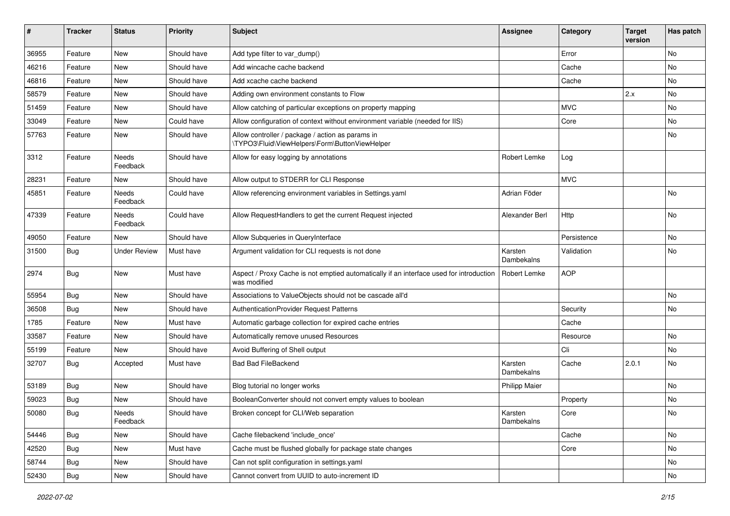| #     | <b>Tracker</b> | <b>Status</b>     | <b>Priority</b> | <b>Subject</b>                                                                                          | <b>Assignee</b>       | Category    | <b>Target</b><br>version | Has patch |
|-------|----------------|-------------------|-----------------|---------------------------------------------------------------------------------------------------------|-----------------------|-------------|--------------------------|-----------|
| 36955 | Feature        | <b>New</b>        | Should have     | Add type filter to var_dump()                                                                           |                       | Error       |                          | No        |
| 46216 | Feature        | New               | Should have     | Add wincache cache backend                                                                              |                       | Cache       |                          | No        |
| 46816 | Feature        | New               | Should have     | Add xcache cache backend                                                                                |                       | Cache       |                          | No        |
| 58579 | Feature        | New               | Should have     | Adding own environment constants to Flow                                                                |                       |             | 2.x                      | No        |
| 51459 | Feature        | New               | Should have     | Allow catching of particular exceptions on property mapping                                             |                       | <b>MVC</b>  |                          | No        |
| 33049 | Feature        | <b>New</b>        | Could have      | Allow configuration of context without environment variable (needed for IIS)                            |                       | Core        |                          | No        |
| 57763 | Feature        | New               | Should have     | Allow controller / package / action as params in<br>\TYPO3\Fluid\ViewHelpers\Form\ButtonViewHelper      |                       |             |                          | No        |
| 3312  | Feature        | Needs<br>Feedback | Should have     | Allow for easy logging by annotations                                                                   | Robert Lemke          | Log         |                          |           |
| 28231 | Feature        | New               | Should have     | Allow output to STDERR for CLI Response                                                                 |                       | <b>MVC</b>  |                          |           |
| 45851 | Feature        | Needs<br>Feedback | Could have      | Allow referencing environment variables in Settings.yaml                                                | Adrian Föder          |             |                          | No        |
| 47339 | Feature        | Needs<br>Feedback | Could have      | Allow RequestHandlers to get the current Request injected                                               | Alexander Berl        | Http        |                          | No        |
| 49050 | Feature        | New               | Should have     | Allow Subqueries in QueryInterface                                                                      |                       | Persistence |                          | No        |
| 31500 | Bug            | Under Review      | Must have       | Argument validation for CLI requests is not done                                                        | Karsten<br>Dambekalns | Validation  |                          | No        |
| 2974  | Bug            | New               | Must have       | Aspect / Proxy Cache is not emptied automatically if an interface used for introduction<br>was modified | <b>Robert Lemke</b>   | <b>AOP</b>  |                          |           |
| 55954 | Bug            | <b>New</b>        | Should have     | Associations to ValueObjects should not be cascade all'd                                                |                       |             |                          | No        |
| 36508 | Bug            | New               | Should have     | AuthenticationProvider Request Patterns                                                                 |                       | Security    |                          | No        |
| 1785  | Feature        | New               | Must have       | Automatic garbage collection for expired cache entries                                                  |                       | Cache       |                          |           |
| 33587 | Feature        | New               | Should have     | Automatically remove unused Resources                                                                   |                       | Resource    |                          | No        |
| 55199 | Feature        | New               | Should have     | Avoid Buffering of Shell output                                                                         |                       | Cli         |                          | No.       |
| 32707 | Bug            | Accepted          | Must have       | <b>Bad Bad FileBackend</b>                                                                              | Karsten<br>Dambekalns | Cache       | 2.0.1                    | No        |
| 53189 | Bug            | <b>New</b>        | Should have     | Blog tutorial no longer works                                                                           | <b>Philipp Maier</b>  |             |                          | No        |
| 59023 | Bug            | New               | Should have     | BooleanConverter should not convert empty values to boolean                                             |                       | Property    |                          | No        |
| 50080 | Bug            | Needs<br>Feedback | Should have     | Broken concept for CLI/Web separation                                                                   | Karsten<br>Dambekalns | Core        |                          | INO.      |
| 54446 | Bug            | New               | Should have     | Cache filebackend 'include_once'                                                                        |                       | Cache       |                          | No        |
| 42520 | Bug            | <b>New</b>        | Must have       | Cache must be flushed globally for package state changes                                                |                       | Core        |                          | No        |
| 58744 | Bug            | New               | Should have     | Can not split configuration in settings.yaml                                                            |                       |             |                          | No        |
| 52430 | Bug            | New               | Should have     | Cannot convert from UUID to auto-increment ID                                                           |                       |             |                          | No        |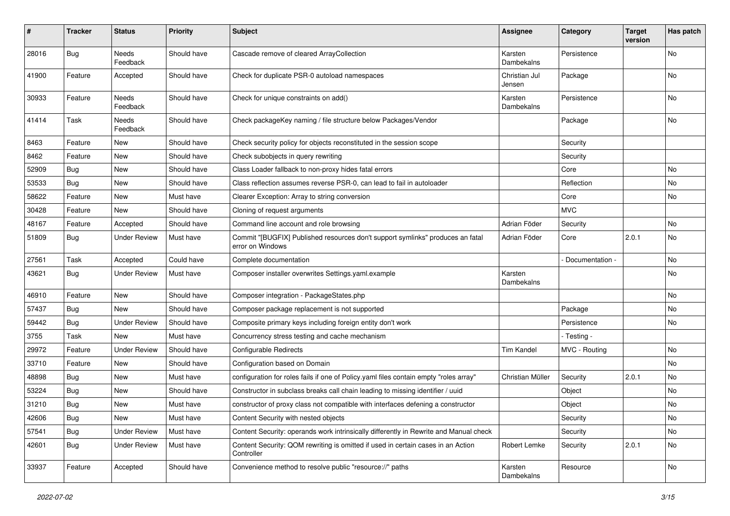| #     | <b>Tracker</b> | <b>Status</b>            | <b>Priority</b> | <b>Subject</b>                                                                                     | <b>Assignee</b>         | Category        | <b>Target</b><br>version | Has patch |
|-------|----------------|--------------------------|-----------------|----------------------------------------------------------------------------------------------------|-------------------------|-----------------|--------------------------|-----------|
| 28016 | <b>Bug</b>     | Needs<br>Feedback        | Should have     | Cascade remove of cleared ArrayCollection                                                          | Karsten<br>Dambekalns   | Persistence     |                          | No        |
| 41900 | Feature        | Accepted                 | Should have     | Check for duplicate PSR-0 autoload namespaces                                                      | Christian Jul<br>Jensen | Package         |                          | No        |
| 30933 | Feature        | Needs<br>Feedback        | Should have     | Check for unique constraints on add()                                                              | Karsten<br>Dambekalns   | Persistence     |                          | No        |
| 41414 | Task           | <b>Needs</b><br>Feedback | Should have     | Check packageKey naming / file structure below Packages/Vendor                                     |                         | Package         |                          | <b>No</b> |
| 8463  | Feature        | New                      | Should have     | Check security policy for objects reconstituted in the session scope                               |                         | Security        |                          |           |
| 8462  | Feature        | New                      | Should have     | Check subobjects in query rewriting                                                                |                         | Security        |                          |           |
| 52909 | <b>Bug</b>     | New                      | Should have     | Class Loader fallback to non-proxy hides fatal errors                                              |                         | Core            |                          | No        |
| 53533 | <b>Bug</b>     | New                      | Should have     | Class reflection assumes reverse PSR-0, can lead to fail in autoloader                             |                         | Reflection      |                          | No        |
| 58622 | Feature        | <b>New</b>               | Must have       | Clearer Exception: Array to string conversion                                                      |                         | Core            |                          | No        |
| 30428 | Feature        | New                      | Should have     | Cloning of request arguments                                                                       |                         | <b>MVC</b>      |                          |           |
| 48167 | Feature        | Accepted                 | Should have     | Command line account and role browsing                                                             | Adrian Föder            | Security        |                          | No        |
| 51809 | <b>Bug</b>     | <b>Under Review</b>      | Must have       | Commit "[BUGFIX] Published resources don't support symlinks" produces an fatal<br>error on Windows | Adrian Föder            | Core            | 2.0.1                    | No        |
| 27561 | Task           | Accepted                 | Could have      | Complete documentation                                                                             |                         | Documentation - |                          | <b>No</b> |
| 43621 | <b>Bug</b>     | <b>Under Review</b>      | Must have       | Composer installer overwrites Settings.yaml.example                                                | Karsten<br>Dambekalns   |                 |                          | No        |
| 46910 | Feature        | New                      | Should have     | Composer integration - PackageStates.php                                                           |                         |                 |                          | <b>No</b> |
| 57437 | <b>Bug</b>     | New                      | Should have     | Composer package replacement is not supported                                                      |                         | Package         |                          | No        |
| 59442 | <b>Bug</b>     | <b>Under Review</b>      | Should have     | Composite primary keys including foreign entity don't work                                         |                         | Persistence     |                          | No        |
| 3755  | Task           | New                      | Must have       | Concurrency stress testing and cache mechanism                                                     |                         | - Testing -     |                          |           |
| 29972 | Feature        | <b>Under Review</b>      | Should have     | <b>Configurable Redirects</b>                                                                      | <b>Tim Kandel</b>       | MVC - Routing   |                          | No        |
| 33710 | Feature        | <b>New</b>               | Should have     | Configuration based on Domain                                                                      |                         |                 |                          | <b>No</b> |
| 48898 | <b>Bug</b>     | New                      | Must have       | configuration for roles fails if one of Policy.yaml files contain empty "roles array"              | Christian Müller        | Security        | 2.0.1                    | No        |
| 53224 | <b>Bug</b>     | New                      | Should have     | Constructor in subclass breaks call chain leading to missing identifier / uuid                     |                         | Object          |                          | No        |
| 31210 | Bug            | New                      | Must have       | constructor of proxy class not compatible with interfaces defening a constructor                   |                         | Object          |                          | No        |
| 42606 | <b>Bug</b>     | <b>New</b>               | Must have       | Content Security with nested objects                                                               |                         | Security        |                          | No        |
| 57541 | <b>Bug</b>     | <b>Under Review</b>      | Must have       | Content Security: operands work intrinsically differently in Rewrite and Manual check              |                         | Security        |                          | No        |
| 42601 | Bug            | <b>Under Review</b>      | Must have       | Content Security: QOM rewriting is omitted if used in certain cases in an Action<br>Controller     | Robert Lemke            | Security        | 2.0.1                    | No        |
| 33937 | Feature        | Accepted                 | Should have     | Convenience method to resolve public "resource://" paths                                           | Karsten<br>Dambekalns   | Resource        |                          | No        |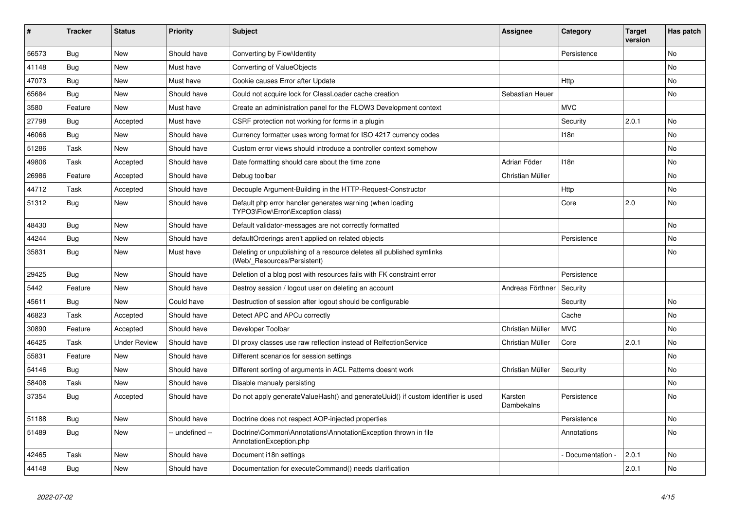| ∦     | <b>Tracker</b> | <b>Status</b>       | <b>Priority</b> | <b>Subject</b>                                                                                       | Assignee              | Category         | <b>Target</b><br>version | Has patch |
|-------|----------------|---------------------|-----------------|------------------------------------------------------------------------------------------------------|-----------------------|------------------|--------------------------|-----------|
| 56573 | Bug            | <b>New</b>          | Should have     | Converting by Flow\Identity                                                                          |                       | Persistence      |                          | <b>No</b> |
| 41148 | Bug            | <b>New</b>          | Must have       | Converting of ValueObjects                                                                           |                       |                  |                          | <b>No</b> |
| 47073 | Bug            | <b>New</b>          | Must have       | Cookie causes Error after Update                                                                     |                       | Http             |                          | <b>No</b> |
| 65684 | Bug            | <b>New</b>          | Should have     | Could not acquire lock for ClassLoader cache creation                                                | Sebastian Heuer       |                  |                          | <b>No</b> |
| 3580  | Feature        | <b>New</b>          | Must have       | Create an administration panel for the FLOW3 Development context                                     |                       | <b>MVC</b>       |                          |           |
| 27798 | Bug            | Accepted            | Must have       | CSRF protection not working for forms in a plugin                                                    |                       | Security         | 2.0.1                    | <b>No</b> |
| 46066 | Bug            | <b>New</b>          | Should have     | Currency formatter uses wrong format for ISO 4217 currency codes                                     |                       | 118n             |                          | <b>No</b> |
| 51286 | Task           | <b>New</b>          | Should have     | Custom error views should introduce a controller context somehow                                     |                       |                  |                          | <b>No</b> |
| 49806 | Task           | Accepted            | Should have     | Date formatting should care about the time zone                                                      | Adrian Föder          | 118 <sub>n</sub> |                          | <b>No</b> |
| 26986 | Feature        | Accepted            | Should have     | Debug toolbar                                                                                        | Christian Müller      |                  |                          | <b>No</b> |
| 44712 | Task           | Accepted            | Should have     | Decouple Argument-Building in the HTTP-Request-Constructor                                           |                       | Http             |                          | <b>No</b> |
| 51312 | Bug            | <b>New</b>          | Should have     | Default php error handler generates warning (when loading<br>TYPO3\Flow\Error\Exception class)       |                       | Core             | 2.0                      | <b>No</b> |
| 48430 | <b>Bug</b>     | <b>New</b>          | Should have     | Default validator-messages are not correctly formatted                                               |                       |                  |                          | <b>No</b> |
| 44244 | Bug            | <b>New</b>          | Should have     | defaultOrderings aren't applied on related objects                                                   |                       | Persistence      |                          | <b>No</b> |
| 35831 | Bug            | <b>New</b>          | Must have       | Deleting or unpublishing of a resource deletes all published symlinks<br>(Web/ Resources/Persistent) |                       |                  |                          | <b>No</b> |
| 29425 | Bug            | <b>New</b>          | Should have     | Deletion of a blog post with resources fails with FK constraint error                                |                       | Persistence      |                          |           |
| 5442  | Feature        | <b>New</b>          | Should have     | Destroy session / logout user on deleting an account                                                 | Andreas Förthner      | Security         |                          |           |
| 45611 | Bug            | <b>New</b>          | Could have      | Destruction of session after logout should be configurable                                           |                       | Security         |                          | <b>No</b> |
| 46823 | Task           | Accepted            | Should have     | Detect APC and APCu correctly                                                                        |                       | Cache            |                          | No        |
| 30890 | Feature        | Accepted            | Should have     | Developer Toolbar                                                                                    | Christian Müller      | <b>MVC</b>       |                          | <b>No</b> |
| 46425 | Task           | <b>Under Review</b> | Should have     | DI proxy classes use raw reflection instead of RelfectionService                                     | Christian Müller      | Core             | 2.0.1                    | No        |
| 55831 | Feature        | <b>New</b>          | Should have     | Different scenarios for session settings                                                             |                       |                  |                          | <b>No</b> |
| 54146 | <b>Bug</b>     | <b>New</b>          | Should have     | Different sorting of arguments in ACL Patterns doesnt work                                           | Christian Müller      | Security         |                          | No        |
| 58408 | Task           | <b>New</b>          | Should have     | Disable manualy persisting                                                                           |                       |                  |                          | <b>No</b> |
| 37354 | <b>Bug</b>     | Accepted            | Should have     | Do not apply generateValueHash() and generateUuid() if custom identifier is used                     | Karsten<br>Dambekalns | Persistence      |                          | No        |
| 51188 | Bug            | <b>New</b>          | Should have     | Doctrine does not respect AOP-injected properties                                                    |                       | Persistence      |                          | No        |
| 51489 | <b>Bug</b>     | <b>New</b>          | -- undefined -- | Doctrine\Common\Annotations\AnnotationException thrown in file<br>AnnotationException.php            |                       | Annotations      |                          | No        |
| 42465 | Task           | <b>New</b>          | Should have     | Document i18n settings                                                                               |                       | Documentation    | 2.0.1                    | <b>No</b> |
| 44148 | <b>Bug</b>     | <b>New</b>          | Should have     | Documentation for executeCommand() needs clarification                                               |                       |                  | 2.0.1                    | No        |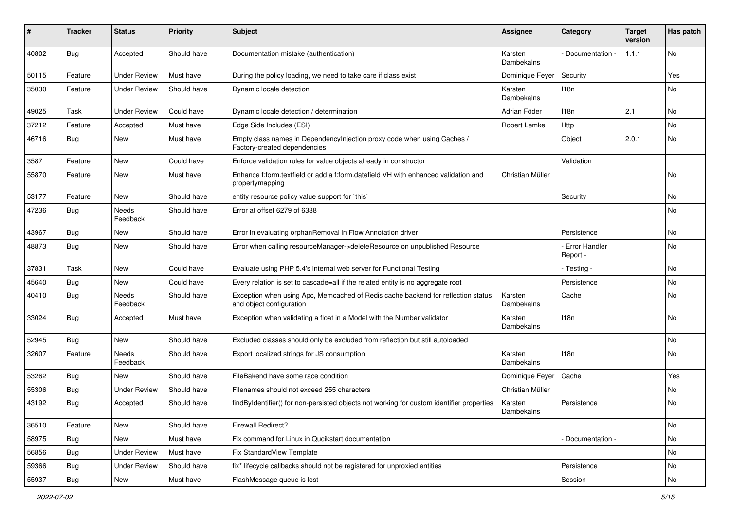| ∦     | <b>Tracker</b> | <b>Status</b>            | <b>Priority</b> | <b>Subject</b>                                                                                               | <b>Assignee</b>              | Category                  | <b>Target</b><br>version | Has patch |
|-------|----------------|--------------------------|-----------------|--------------------------------------------------------------------------------------------------------------|------------------------------|---------------------------|--------------------------|-----------|
| 40802 | Bug            | Accepted                 | Should have     | Documentation mistake (authentication)                                                                       | Karsten<br>Dambekalns        | Documentation -           | 1.1.1                    | No        |
| 50115 | Feature        | <b>Under Review</b>      | Must have       | During the policy loading, we need to take care if class exist                                               | Dominique Feyer              | Security                  |                          | Yes       |
| 35030 | Feature        | <b>Under Review</b>      | Should have     | Dynamic locale detection                                                                                     | Karsten<br>Dambekalns        | 118n                      |                          | No        |
| 49025 | Task           | <b>Under Review</b>      | Could have      | Dynamic locale detection / determination                                                                     | Adrian Föder                 | 118n                      | 2.1                      | <b>No</b> |
| 37212 | Feature        | Accepted                 | Must have       | Edge Side Includes (ESI)                                                                                     | Robert Lemke                 | Http                      |                          | No        |
| 46716 | <b>Bug</b>     | New                      | Must have       | Empty class names in Dependencylnjection proxy code when using Caches /<br>Factory-created dependencies      |                              | Object                    | 2.0.1                    | No        |
| 3587  | Feature        | <b>New</b>               | Could have      | Enforce validation rules for value objects already in constructor                                            |                              | Validation                |                          |           |
| 55870 | Feature        | New                      | Must have       | Enhance f:form.textfield or add a f:form.datefield VH with enhanced validation and<br>propertymapping        | Christian Müller             |                           |                          | No        |
| 53177 | Feature        | <b>New</b>               | Should have     | entity resource policy value support for `this`                                                              |                              | Security                  |                          | <b>No</b> |
| 47236 | <b>Bug</b>     | <b>Needs</b><br>Feedback | Should have     | Error at offset 6279 of 6338                                                                                 |                              |                           |                          | No        |
| 43967 | Bug            | New                      | Should have     | Error in evaluating orphanRemoval in Flow Annotation driver                                                  |                              | Persistence               |                          | No        |
| 48873 | Bug            | New                      | Should have     | Error when calling resourceManager->deleteResource on unpublished Resource                                   |                              | Error Handler<br>Report - |                          | No        |
| 37831 | Task           | <b>New</b>               | Could have      | Evaluate using PHP 5.4's internal web server for Functional Testing                                          |                              | - Testing -               |                          | <b>No</b> |
| 45640 | Bug            | New                      | Could have      | Every relation is set to cascade=all if the related entity is no aggregate root                              |                              | Persistence               |                          | No        |
| 40410 | <b>Bug</b>     | Needs<br>Feedback        | Should have     | Exception when using Apc, Memcached of Redis cache backend for reflection status<br>and object configuration | Karsten<br><b>Dambekalns</b> | Cache                     |                          | No        |
| 33024 | Bug            | Accepted                 | Must have       | Exception when validating a float in a Model with the Number validator                                       | Karsten<br>Dambekalns        | 118n                      |                          | No        |
| 52945 | Bug            | New                      | Should have     | Excluded classes should only be excluded from reflection but still autoloaded                                |                              |                           |                          | <b>No</b> |
| 32607 | Feature        | Needs<br>Feedback        | Should have     | Export localized strings for JS consumption                                                                  | Karsten<br>Dambekalns        | 118n                      |                          | No        |
| 53262 | Bug            | New                      | Should have     | FileBakend have some race condition                                                                          | Dominique Feyer              | Cache                     |                          | Yes       |
| 55306 | <b>Bug</b>     | <b>Under Review</b>      | Should have     | Filenames should not exceed 255 characters                                                                   | Christian Müller             |                           |                          | No        |
| 43192 | <b>Bug</b>     | Accepted                 | Should have     | findByIdentifier() for non-persisted objects not working for custom identifier properties                    | Karsten<br>Dambekalns        | Persistence               |                          | No        |
| 36510 | Feature        | New                      | Should have     | Firewall Redirect?                                                                                           |                              |                           |                          | No        |
| 58975 | <b>Bug</b>     | New                      | Must have       | Fix command for Linux in Qucikstart documentation                                                            |                              | - Documentation -         |                          | No        |
| 56856 | <b>Bug</b>     | <b>Under Review</b>      | Must have       | Fix StandardView Template                                                                                    |                              |                           |                          | No        |
| 59366 | <b>Bug</b>     | <b>Under Review</b>      | Should have     | fix* lifecycle callbacks should not be registered for unproxied entities                                     |                              | Persistence               |                          | No        |
| 55937 | <b>Bug</b>     | New                      | Must have       | FlashMessage queue is lost                                                                                   |                              | Session                   |                          | No        |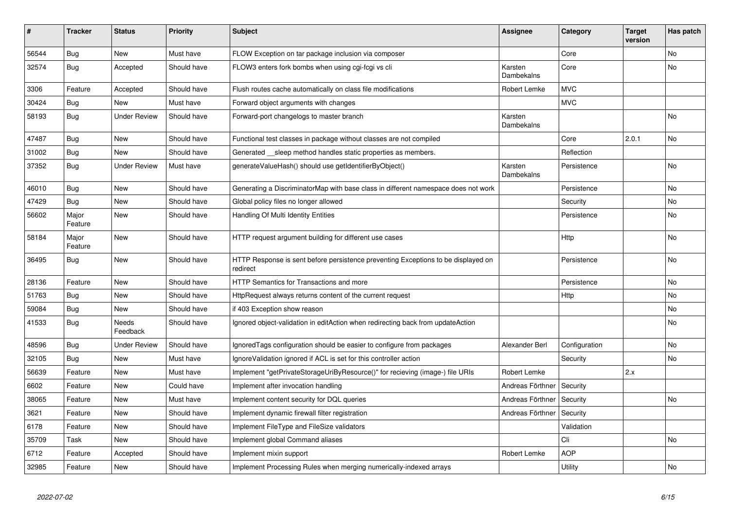| #     | <b>Tracker</b>   | <b>Status</b>       | <b>Priority</b> | <b>Subject</b>                                                                                | <b>Assignee</b>       | Category      | <b>Target</b><br>version | Has patch |
|-------|------------------|---------------------|-----------------|-----------------------------------------------------------------------------------------------|-----------------------|---------------|--------------------------|-----------|
| 56544 | Bug              | <b>New</b>          | Must have       | FLOW Exception on tar package inclusion via composer                                          |                       | Core          |                          | <b>No</b> |
| 32574 | Bug              | Accepted            | Should have     | FLOW3 enters fork bombs when using cgi-fcgi vs cli                                            | Karsten<br>Dambekalns | Core          |                          | <b>No</b> |
| 3306  | Feature          | Accepted            | Should have     | Flush routes cache automatically on class file modifications                                  | Robert Lemke          | <b>MVC</b>    |                          |           |
| 30424 | Bug              | <b>New</b>          | Must have       | Forward object arguments with changes                                                         |                       | <b>MVC</b>    |                          |           |
| 58193 | <b>Bug</b>       | <b>Under Review</b> | Should have     | Forward-port changelogs to master branch                                                      | Karsten<br>Dambekalns |               |                          | <b>No</b> |
| 47487 | Bug              | New                 | Should have     | Functional test classes in package without classes are not compiled                           |                       | Core          | 2.0.1                    | <b>No</b> |
| 31002 | Bug              | <b>New</b>          | Should have     | Generated __sleep method handles static properties as members.                                |                       | Reflection    |                          |           |
| 37352 | Bug              | <b>Under Review</b> | Must have       | generateValueHash() should use getIdentifierByObject()                                        | Karsten<br>Dambekalns | Persistence   |                          | <b>No</b> |
| 46010 | Bug              | <b>New</b>          | Should have     | Generating a DiscriminatorMap with base class in different namespace does not work            |                       | Persistence   |                          | No        |
| 47429 | <b>Bug</b>       | <b>New</b>          | Should have     | Global policy files no longer allowed                                                         |                       | Security      |                          | <b>No</b> |
| 56602 | Major<br>Feature | <b>New</b>          | Should have     | Handling Of Multi Identity Entities                                                           |                       | Persistence   |                          | <b>No</b> |
| 58184 | Major<br>Feature | <b>New</b>          | Should have     | HTTP request argument building for different use cases                                        |                       | <b>Http</b>   |                          | No        |
| 36495 | Bug              | <b>New</b>          | Should have     | HTTP Response is sent before persistence preventing Exceptions to be displayed on<br>redirect |                       | Persistence   |                          | No        |
| 28136 | Feature          | <b>New</b>          | Should have     | <b>HTTP Semantics for Transactions and more</b>                                               |                       | Persistence   |                          | No        |
| 51763 | Bug              | <b>New</b>          | Should have     | HttpRequest always returns content of the current request                                     |                       | Http          |                          | No        |
| 59084 | <b>Bug</b>       | <b>New</b>          | Should have     | if 403 Exception show reason                                                                  |                       |               |                          | No        |
| 41533 | <b>Bug</b>       | Needs<br>Feedback   | Should have     | Ignored object-validation in editAction when redirecting back from updateAction               |                       |               |                          | No        |
| 48596 | Bug              | <b>Under Review</b> | Should have     | IgnoredTags configuration should be easier to configure from packages                         | Alexander Berl        | Configuration |                          | <b>No</b> |
| 32105 | Bug              | New                 | Must have       | IgnoreValidation ignored if ACL is set for this controller action                             |                       | Security      |                          | No        |
| 56639 | Feature          | <b>New</b>          | Must have       | Implement "getPrivateStorageUriByResource()" for recieving (image-) file URIs                 | Robert Lemke          |               | 2.x                      |           |
| 6602  | Feature          | New                 | Could have      | Implement after invocation handling                                                           | Andreas Förthner      | Security      |                          |           |
| 38065 | Feature          | <b>New</b>          | Must have       | Implement content security for DQL queries                                                    | Andreas Förthner      | Security      |                          | No        |
| 3621  | Feature          | New                 | Should have     | Implement dynamic firewall filter registration                                                | Andreas Förthner      | Security      |                          |           |
| 6178  | Feature          | <b>New</b>          | Should have     | Implement FileType and FileSize validators                                                    |                       | Validation    |                          |           |
| 35709 | Task             | <b>New</b>          | Should have     | Implement global Command aliases                                                              |                       | Cli           |                          | No        |
| 6712  | Feature          | Accepted            | Should have     | Implement mixin support                                                                       | Robert Lemke          | <b>AOP</b>    |                          |           |
| 32985 | Feature          | New                 | Should have     | Implement Processing Rules when merging numerically-indexed arrays                            |                       | Utility       |                          | No        |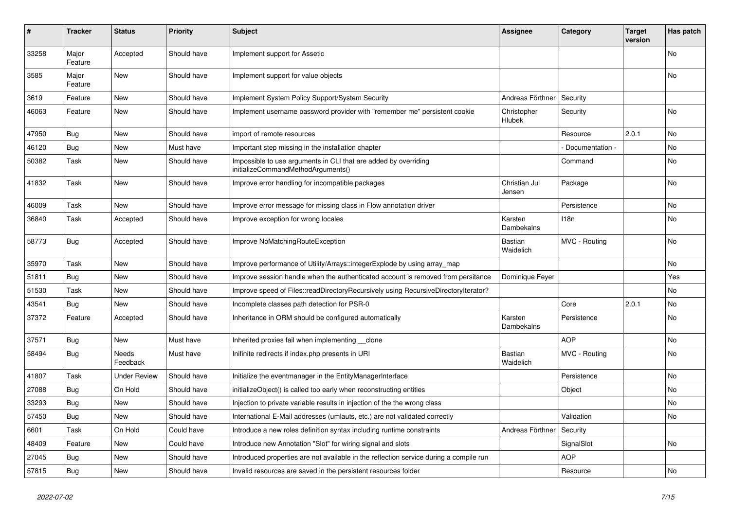| #     | <b>Tracker</b>   | <b>Status</b>       | <b>Priority</b> | <b>Subject</b>                                                                                        | <b>Assignee</b>             | Category         | Target<br>version | Has patch      |
|-------|------------------|---------------------|-----------------|-------------------------------------------------------------------------------------------------------|-----------------------------|------------------|-------------------|----------------|
| 33258 | Major<br>Feature | Accepted            | Should have     | Implement support for Assetic                                                                         |                             |                  |                   | No             |
| 3585  | Major<br>Feature | New                 | Should have     | Implement support for value objects                                                                   |                             |                  |                   | No             |
| 3619  | Feature          | <b>New</b>          | Should have     | Implement System Policy Support/System Security                                                       | Andreas Förthner            | Security         |                   |                |
| 46063 | Feature          | <b>New</b>          | Should have     | Implement username password provider with "remember me" persistent cookie                             | Christopher<br>Hlubek       | Security         |                   | <b>No</b>      |
| 47950 | Bug              | <b>New</b>          | Should have     | import of remote resources                                                                            |                             | Resource         | 2.0.1             | N <sub>o</sub> |
| 46120 | Bug              | <b>New</b>          | Must have       | Important step missing in the installation chapter                                                    |                             | Documentation -  |                   | N <sub>o</sub> |
| 50382 | Task             | <b>New</b>          | Should have     | Impossible to use arguments in CLI that are added by overriding<br>initializeCommandMethodArguments() |                             | Command          |                   | No             |
| 41832 | Task             | New                 | Should have     | Improve error handling for incompatible packages                                                      | Christian Jul<br>Jensen     | Package          |                   | No             |
| 46009 | Task             | <b>New</b>          | Should have     | Improve error message for missing class in Flow annotation driver                                     |                             | Persistence      |                   | <b>No</b>      |
| 36840 | Task             | Accepted            | Should have     | Improve exception for wrong locales                                                                   | Karsten<br>Dambekalns       | 118 <sub>n</sub> |                   | No             |
| 58773 | Bug              | Accepted            | Should have     | Improve NoMatchingRouteException                                                                      | <b>Bastian</b><br>Waidelich | MVC - Routing    |                   | <b>No</b>      |
| 35970 | Task             | New                 | Should have     | Improve performance of Utility/Arrays::integerExplode by using array map                              |                             |                  |                   | No             |
| 51811 | <b>Bug</b>       | <b>New</b>          | Should have     | Improve session handle when the authenticated account is removed from persitance                      | Dominique Feyer             |                  |                   | Yes            |
| 51530 | Task             | New                 | Should have     | Improve speed of Files::readDirectoryRecursively using RecursiveDirectoryIterator?                    |                             |                  |                   | No             |
| 43541 | Bug              | New                 | Should have     | Incomplete classes path detection for PSR-0                                                           |                             | Core             | 2.0.1             | No             |
| 37372 | Feature          | Accepted            | Should have     | Inheritance in ORM should be configured automatically                                                 | Karsten<br>Dambekalns       | Persistence      |                   | No             |
| 37571 | <b>Bug</b>       | <b>New</b>          | Must have       | Inherited proxies fail when implementing __clone                                                      |                             | <b>AOP</b>       |                   | No             |
| 58494 | <b>Bug</b>       | Needs<br>Feedback   | Must have       | Inifinite redirects if index.php presents in URI                                                      | Bastian<br>Waidelich        | MVC - Routing    |                   | No.            |
| 41807 | Task             | <b>Under Review</b> | Should have     | Initialize the eventmanager in the EntityManagerInterface                                             |                             | Persistence      |                   | No             |
| 27088 | Bug              | On Hold             | Should have     | initializeObject() is called too early when reconstructing entities                                   |                             | Object           |                   | No             |
| 33293 | Bug              | <b>New</b>          | Should have     | Injection to private variable results in injection of the the wrong class                             |                             |                  |                   | No             |
| 57450 | <b>Bug</b>       | <b>New</b>          | Should have     | International E-Mail addresses (umlauts, etc.) are not validated correctly                            |                             | Validation       |                   | No             |
| 6601  | Task             | On Hold             | Could have      | Introduce a new roles definition syntax including runtime constraints                                 | Andreas Förthner            | Security         |                   |                |
| 48409 | Feature          | New                 | Could have      | Introduce new Annotation "Slot" for wiring signal and slots                                           |                             | SignalSlot       |                   | No             |
| 27045 | <b>Bug</b>       | New                 | Should have     | Introduced properties are not available in the reflection service during a compile run                |                             | <b>AOP</b>       |                   |                |
| 57815 | <b>Bug</b>       | <b>New</b>          | Should have     | Invalid resources are saved in the persistent resources folder                                        |                             | Resource         |                   | No             |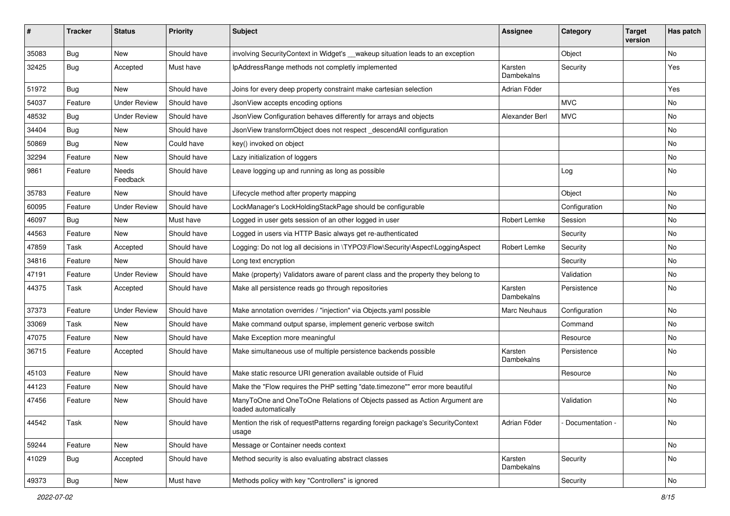| ∦     | <b>Tracker</b> | <b>Status</b>       | <b>Priority</b> | <b>Subject</b>                                                                                    | <b>Assignee</b>       | Category        | <b>Target</b><br>version | Has patch |
|-------|----------------|---------------------|-----------------|---------------------------------------------------------------------------------------------------|-----------------------|-----------------|--------------------------|-----------|
| 35083 | <b>Bug</b>     | New                 | Should have     | involving SecurityContext in Widget's __wakeup situation leads to an exception                    |                       | Object          |                          | No        |
| 32425 | <b>Bug</b>     | Accepted            | Must have       | IpAddressRange methods not completly implemented                                                  | Karsten<br>Dambekalns | Security        |                          | Yes       |
| 51972 | <b>Bug</b>     | New                 | Should have     | Joins for every deep property constraint make cartesian selection                                 | Adrian Föder          |                 |                          | Yes       |
| 54037 | Feature        | <b>Under Review</b> | Should have     | JsonView accepts encoding options                                                                 |                       | <b>MVC</b>      |                          | No        |
| 48532 | <b>Bug</b>     | <b>Under Review</b> | Should have     | JsonView Configuration behaves differently for arrays and objects                                 | Alexander Berl        | <b>MVC</b>      |                          | <b>No</b> |
| 34404 | <b>Bug</b>     | New                 | Should have     | JsonView transformObject does not respect descendAll configuration                                |                       |                 |                          | No        |
| 50869 | <b>Bug</b>     | New                 | Could have      | key() invoked on object                                                                           |                       |                 |                          | No        |
| 32294 | Feature        | New                 | Should have     | Lazy initialization of loggers                                                                    |                       |                 |                          | No        |
| 9861  | Feature        | Needs<br>Feedback   | Should have     | Leave logging up and running as long as possible                                                  |                       | Log             |                          | No        |
| 35783 | Feature        | New                 | Should have     | Lifecycle method after property mapping                                                           |                       | Object          |                          | <b>No</b> |
| 60095 | Feature        | <b>Under Review</b> | Should have     | LockManager's LockHoldingStackPage should be configurable                                         |                       | Configuration   |                          | No        |
| 46097 | <b>Bug</b>     | <b>New</b>          | Must have       | Logged in user gets session of an other logged in user                                            | Robert Lemke          | Session         |                          | No        |
| 44563 | Feature        | New                 | Should have     | Logged in users via HTTP Basic always get re-authenticated                                        |                       | Security        |                          | No        |
| 47859 | Task           | Accepted            | Should have     | Logging: Do not log all decisions in \TYPO3\Flow\Security\Aspect\LoggingAspect                    | Robert Lemke          | Security        |                          | No        |
| 34816 | Feature        | New                 | Should have     | Long text encryption                                                                              |                       | Security        |                          | No        |
| 47191 | Feature        | <b>Under Review</b> | Should have     | Make (property) Validators aware of parent class and the property they belong to                  |                       | Validation      |                          | No        |
| 44375 | Task           | Accepted            | Should have     | Make all persistence reads go through repositories                                                | Karsten<br>Dambekalns | Persistence     |                          | No        |
| 37373 | Feature        | <b>Under Review</b> | Should have     | Make annotation overrides / "injection" via Objects.yaml possible                                 | Marc Neuhaus          | Configuration   |                          | No        |
| 33069 | Task           | New                 | Should have     | Make command output sparse, implement generic verbose switch                                      |                       | Command         |                          | No        |
| 47075 | Feature        | New                 | Should have     | Make Exception more meaningful                                                                    |                       | Resource        |                          | No        |
| 36715 | Feature        | Accepted            | Should have     | Make simultaneous use of multiple persistence backends possible                                   | Karsten<br>Dambekalns | Persistence     |                          | No        |
| 45103 | Feature        | New                 | Should have     | Make static resource URI generation available outside of Fluid                                    |                       | Resource        |                          | No        |
| 44123 | Feature        | New                 | Should have     | Make the "Flow requires the PHP setting "date.timezone"" error more beautiful                     |                       |                 |                          | No        |
| 47456 | Feature        | New                 | Should have     | ManyToOne and OneToOne Relations of Objects passed as Action Argument are<br>loaded automatically |                       | Validation      |                          | No        |
| 44542 | Task           | New                 | Should have     | Mention the risk of requestPatterns regarding foreign package's SecurityContext<br>usage          | Adrian Föder          | Documentation - |                          | No        |
| 59244 | Feature        | New                 | Should have     | Message or Container needs context                                                                |                       |                 |                          | No        |
| 41029 | <b>Bug</b>     | Accepted            | Should have     | Method security is also evaluating abstract classes                                               | Karsten<br>Dambekalns | Security        |                          | No        |
| 49373 | i Bug          | New                 | Must have       | Methods policy with key "Controllers" is ignored                                                  |                       | Security        |                          | No        |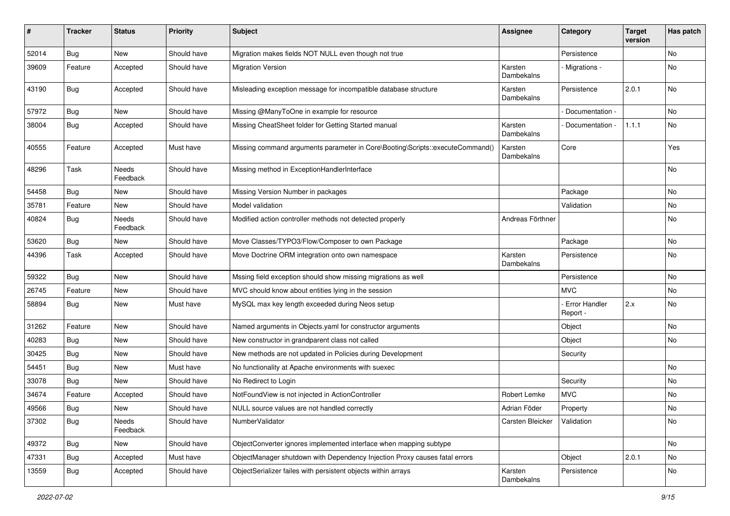| #     | <b>Tracker</b> | <b>Status</b>            | <b>Priority</b> | <b>Subject</b>                                                               | <b>Assignee</b>       | Category                    | <b>Target</b><br>version | Has patch |
|-------|----------------|--------------------------|-----------------|------------------------------------------------------------------------------|-----------------------|-----------------------------|--------------------------|-----------|
| 52014 | <b>Bug</b>     | New                      | Should have     | Migration makes fields NOT NULL even though not true                         |                       | Persistence                 |                          | No        |
| 39609 | Feature        | Accepted                 | Should have     | <b>Migration Version</b>                                                     | Karsten<br>Dambekalns | Migrations -                |                          | No        |
| 43190 | <b>Bug</b>     | Accepted                 | Should have     | Misleading exception message for incompatible database structure             | Karsten<br>Dambekalns | Persistence                 | 2.0.1                    | No        |
| 57972 | <b>Bug</b>     | New                      | Should have     | Missing @ManyToOne in example for resource                                   |                       | Documentation -             |                          | <b>No</b> |
| 38004 | Bug            | Accepted                 | Should have     | Missing CheatSheet folder for Getting Started manual                         | Karsten<br>Dambekalns | Documentation -             | 1.1.1                    | No        |
| 40555 | Feature        | Accepted                 | Must have       | Missing command arguments parameter in Core\Booting\Scripts::executeCommand( | Karsten<br>Dambekalns | Core                        |                          | Yes       |
| 48296 | Task           | <b>Needs</b><br>Feedback | Should have     | Missing method in ExceptionHandlerInterface                                  |                       |                             |                          | No        |
| 54458 | Bug            | New                      | Should have     | Missing Version Number in packages                                           |                       | Package                     |                          | <b>No</b> |
| 35781 | Feature        | New                      | Should have     | Model validation                                                             |                       | Validation                  |                          | No        |
| 40824 | Bug            | <b>Needs</b><br>Feedback | Should have     | Modified action controller methods not detected properly                     | Andreas Förthner      |                             |                          | No        |
| 53620 | Bug            | New                      | Should have     | Move Classes/TYPO3/Flow/Composer to own Package                              |                       | Package                     |                          | No        |
| 44396 | Task           | Accepted                 | Should have     | Move Doctrine ORM integration onto own namespace                             | Karsten<br>Dambekalns | Persistence                 |                          | No        |
| 59322 | <b>Bug</b>     | New                      | Should have     | Mssing field exception should show missing migrations as well                |                       | Persistence                 |                          | No        |
| 26745 | Feature        | New                      | Should have     | MVC should know about entities lying in the session                          |                       | MVC.                        |                          | No        |
| 58894 | <b>Bug</b>     | New                      | Must have       | MySQL max key length exceeded during Neos setup                              |                       | - Error Handler<br>Report - | 2.x                      | No        |
| 31262 | Feature        | New                      | Should have     | Named arguments in Objects.yaml for constructor arguments                    |                       | Object                      |                          | No        |
| 40283 | Bug            | New                      | Should have     | New constructor in grandparent class not called                              |                       | Object                      |                          | <b>No</b> |
| 30425 | <b>Bug</b>     | New                      | Should have     | New methods are not updated in Policies during Development                   |                       | Security                    |                          |           |
| 54451 | <b>Bug</b>     | New                      | Must have       | No functionality at Apache environments with suexec                          |                       |                             |                          | No        |
| 33078 | Bug            | New                      | Should have     | No Redirect to Login                                                         |                       | Security                    |                          | No        |
| 34674 | Feature        | Accepted                 | Should have     | NotFoundView is not injected in ActionController                             | Robert Lemke          | <b>MVC</b>                  |                          | No        |
| 49566 | <b>Bug</b>     | New                      | Should have     | NULL source values are not handled correctly                                 | Adrian Föder          | Property                    |                          | No        |
| 37302 | <b>Bug</b>     | Needs<br>Feedback        | Should have     | NumberValidator                                                              | Carsten Bleicker      | Validation                  |                          | No        |
| 49372 | <b>Bug</b>     | New                      | Should have     | ObjectConverter ignores implemented interface when mapping subtype           |                       |                             |                          | No        |
| 47331 | <b>Bug</b>     | Accepted                 | Must have       | ObjectManager shutdown with Dependency Injection Proxy causes fatal errors   |                       | Object                      | 2.0.1                    | No        |
| 13559 | <b>Bug</b>     | Accepted                 | Should have     | ObjectSerializer failes with persistent objects within arrays                | Karsten<br>Dambekalns | Persistence                 |                          | No        |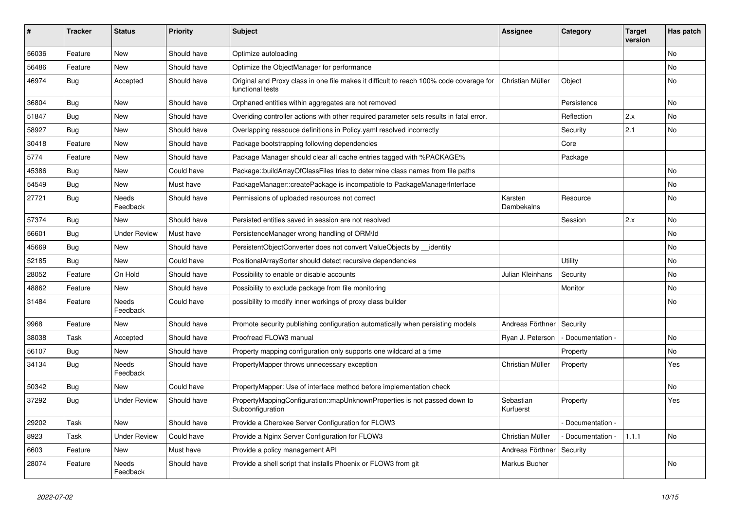| ∦     | <b>Tracker</b> | <b>Status</b>            | <b>Priority</b> | <b>Subject</b>                                                                                              | <b>Assignee</b>        | Category        | <b>Target</b><br>version | Has patch |
|-------|----------------|--------------------------|-----------------|-------------------------------------------------------------------------------------------------------------|------------------------|-----------------|--------------------------|-----------|
| 56036 | Feature        | New                      | Should have     | Optimize autoloading                                                                                        |                        |                 |                          | No        |
| 56486 | Feature        | New                      | Should have     | Optimize the ObjectManager for performance                                                                  |                        |                 |                          | No        |
| 46974 | <b>Bug</b>     | Accepted                 | Should have     | Original and Proxy class in one file makes it difficult to reach 100% code coverage for<br>functional tests | Christian Müller       | Object          |                          | No        |
| 36804 | Bug            | <b>New</b>               | Should have     | Orphaned entities within aggregates are not removed                                                         |                        | Persistence     |                          | No        |
| 51847 | <b>Bug</b>     | New                      | Should have     | Overiding controller actions with other required parameter sets results in fatal error.                     |                        | Reflection      | 2.x                      | No        |
| 58927 | <b>Bug</b>     | New                      | Should have     | Overlapping ressouce definitions in Policy yaml resolved incorrectly                                        |                        | Security        | 2.1                      | No        |
| 30418 | Feature        | New                      | Should have     | Package bootstrapping following dependencies                                                                |                        | Core            |                          |           |
| 5774  | Feature        | New                      | Should have     | Package Manager should clear all cache entries tagged with %PACKAGE%                                        |                        | Package         |                          |           |
| 45386 | <b>Bug</b>     | New                      | Could have      | Package::buildArrayOfClassFiles tries to determine class names from file paths                              |                        |                 |                          | No        |
| 54549 | <b>Bug</b>     | New                      | Must have       | PackageManager::createPackage is incompatible to PackageManagerInterface                                    |                        |                 |                          | No        |
| 27721 | Bug            | <b>Needs</b><br>Feedback | Should have     | Permissions of uploaded resources not correct                                                               | Karsten<br>Dambekalns  | Resource        |                          | No        |
| 57374 | Bug            | <b>New</b>               | Should have     | Persisted entities saved in session are not resolved                                                        |                        | Session         | 2.x                      | No        |
| 56601 | <b>Bug</b>     | <b>Under Review</b>      | Must have       | PersistenceManager wrong handling of ORM\ld                                                                 |                        |                 |                          | No        |
| 45669 | <b>Bug</b>     | New                      | Should have     | PersistentObjectConverter does not convert ValueObjects by __identity                                       |                        |                 |                          | No        |
| 52185 | Bug            | New                      | Could have      | PositionalArraySorter should detect recursive dependencies                                                  |                        | Utility         |                          | No        |
| 28052 | Feature        | On Hold                  | Should have     | Possibility to enable or disable accounts                                                                   | Julian Kleinhans       | Security        |                          | No        |
| 48862 | Feature        | New                      | Should have     | Possibility to exclude package from file monitoring                                                         |                        | Monitor         |                          | No        |
| 31484 | Feature        | Needs<br>Feedback        | Could have      | possibility to modify inner workings of proxy class builder                                                 |                        |                 |                          | No        |
| 9968  | Feature        | New                      | Should have     | Promote security publishing configuration automatically when persisting models                              | Andreas Förthner       | Security        |                          |           |
| 38038 | Task           | Accepted                 | Should have     | Proofread FLOW3 manual                                                                                      | Ryan J. Peterson       | Documentation - |                          | No        |
| 56107 | <b>Bug</b>     | New                      | Should have     | Property mapping configuration only supports one wildcard at a time                                         |                        | Property        |                          | No        |
| 34134 | Bug            | Needs<br>Feedback        | Should have     | PropertyMapper throws unnecessary exception                                                                 | Christian Müller       | Property        |                          | Yes       |
| 50342 | <b>Bug</b>     | New                      | Could have      | PropertyMapper: Use of interface method before implementation check                                         |                        |                 |                          | No        |
| 37292 | Bug            | <b>Under Review</b>      | Should have     | PropertyMappingConfiguration::mapUnknownProperties is not passed down to<br>Subconfiguration                | Sebastian<br>Kurfuerst | Property        |                          | Yes       |
| 29202 | Task           | New                      | Should have     | Provide a Cherokee Server Configuration for FLOW3                                                           |                        | Documentation - |                          |           |
| 8923  | Task           | <b>Under Review</b>      | Could have      | Provide a Nginx Server Configuration for FLOW3                                                              | Christian Müller       | Documentation - | 1.1.1                    | No        |
| 6603  | Feature        | New                      | Must have       | Provide a policy management API                                                                             | Andreas Förthner       | Security        |                          |           |
| 28074 | Feature        | Needs<br>Feedback        | Should have     | Provide a shell script that installs Phoenix or FLOW3 from git                                              | Markus Bucher          |                 |                          | No        |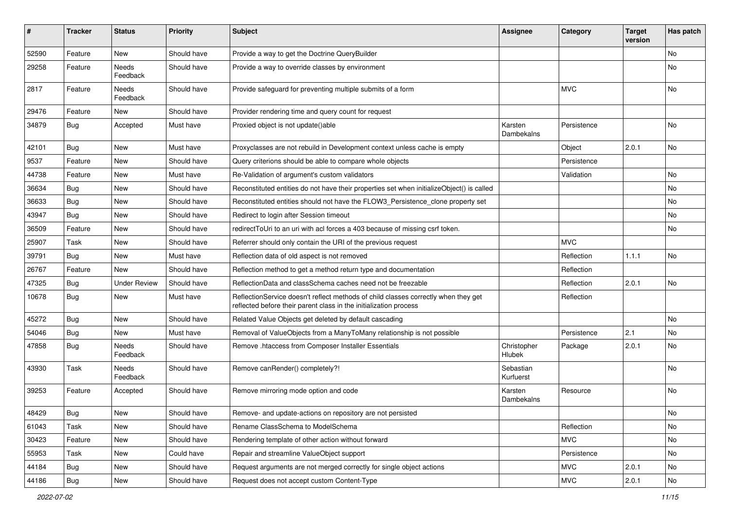| #     | <b>Tracker</b> | <b>Status</b>       | <b>Priority</b> | <b>Subject</b>                                                                                                                                          | <b>Assignee</b>        | Category    | <b>Target</b><br>version | Has patch |
|-------|----------------|---------------------|-----------------|---------------------------------------------------------------------------------------------------------------------------------------------------------|------------------------|-------------|--------------------------|-----------|
| 52590 | Feature        | <b>New</b>          | Should have     | Provide a way to get the Doctrine QueryBuilder                                                                                                          |                        |             |                          | <b>No</b> |
| 29258 | Feature        | Needs<br>Feedback   | Should have     | Provide a way to override classes by environment                                                                                                        |                        |             |                          | No        |
| 2817  | Feature        | Needs<br>Feedback   | Should have     | Provide safeguard for preventing multiple submits of a form                                                                                             |                        | <b>MVC</b>  |                          | No        |
| 29476 | Feature        | New                 | Should have     | Provider rendering time and query count for request                                                                                                     |                        |             |                          |           |
| 34879 | <b>Bug</b>     | Accepted            | Must have       | Proxied object is not update()able                                                                                                                      | Karsten<br>Dambekalns  | Persistence |                          | No        |
| 42101 | Bug            | New                 | Must have       | Proxyclasses are not rebuild in Development context unless cache is empty                                                                               |                        | Object      | 2.0.1                    | No        |
| 9537  | Feature        | New                 | Should have     | Query criterions should be able to compare whole objects                                                                                                |                        | Persistence |                          |           |
| 44738 | Feature        | New                 | Must have       | Re-Validation of argument's custom validators                                                                                                           |                        | Validation  |                          | No        |
| 36634 | Bug            | New                 | Should have     | Reconstituted entities do not have their properties set when initializeObject() is called                                                               |                        |             |                          | <b>No</b> |
| 36633 | <b>Bug</b>     | New                 | Should have     | Reconstituted entities should not have the FLOW3_Persistence_clone property set                                                                         |                        |             |                          | No        |
| 43947 | <b>Bug</b>     | <b>New</b>          | Should have     | Redirect to login after Session timeout                                                                                                                 |                        |             |                          | No        |
| 36509 | Feature        | New                 | Should have     | redirectToUri to an uri with acl forces a 403 because of missing csrf token.                                                                            |                        |             |                          | No        |
| 25907 | Task           | New                 | Should have     | Referrer should only contain the URI of the previous request                                                                                            |                        | <b>MVC</b>  |                          |           |
| 39791 | Bug            | New                 | Must have       | Reflection data of old aspect is not removed                                                                                                            |                        | Reflection  | 1.1.1                    | <b>No</b> |
| 26767 | Feature        | New                 | Should have     | Reflection method to get a method return type and documentation                                                                                         |                        | Reflection  |                          |           |
| 47325 | Bug            | <b>Under Review</b> | Should have     | ReflectionData and classSchema caches need not be freezable                                                                                             |                        | Reflection  | 2.0.1                    | No        |
| 10678 | <b>Bug</b>     | New                 | Must have       | ReflectionService doesn't reflect methods of child classes correctly when they get<br>reflected before their parent class in the initialization process |                        | Reflection  |                          |           |
| 45272 | Bug            | New                 | Should have     | Related Value Objects get deleted by default cascading                                                                                                  |                        |             |                          | No        |
| 54046 | <b>Bug</b>     | <b>New</b>          | Must have       | Removal of ValueObjects from a ManyToMany relationship is not possible                                                                                  |                        | Persistence | 2.1                      | <b>No</b> |
| 47858 | Bug            | Needs<br>Feedback   | Should have     | Remove .htaccess from Composer Installer Essentials                                                                                                     | Christopher<br>Hlubek  | Package     | 2.0.1                    | No        |
| 43930 | Task           | Needs<br>Feedback   | Should have     | Remove canRender() completely?!                                                                                                                         | Sebastian<br>Kurfuerst |             |                          | No        |
| 39253 | Feature        | Accepted            | Should have     | Remove mirroring mode option and code                                                                                                                   | Karsten<br>Dambekalns  | Resource    |                          | No        |
| 48429 | <b>Bug</b>     | New                 | Should have     | Remove- and update-actions on repository are not persisted                                                                                              |                        |             |                          | No        |
| 61043 | Task           | New                 | Should have     | Rename ClassSchema to ModelSchema                                                                                                                       |                        | Reflection  |                          | No        |
| 30423 | Feature        | New                 | Should have     | Rendering template of other action without forward                                                                                                      |                        | <b>MVC</b>  |                          | No        |
| 55953 | Task           | New                 | Could have      | Repair and streamline ValueObject support                                                                                                               |                        | Persistence |                          | No        |
| 44184 | <b>Bug</b>     | New                 | Should have     | Request arguments are not merged correctly for single object actions                                                                                    |                        | <b>MVC</b>  | 2.0.1                    | No        |
| 44186 | <b>Bug</b>     | New                 | Should have     | Request does not accept custom Content-Type                                                                                                             |                        | <b>MVC</b>  | 2.0.1                    | No        |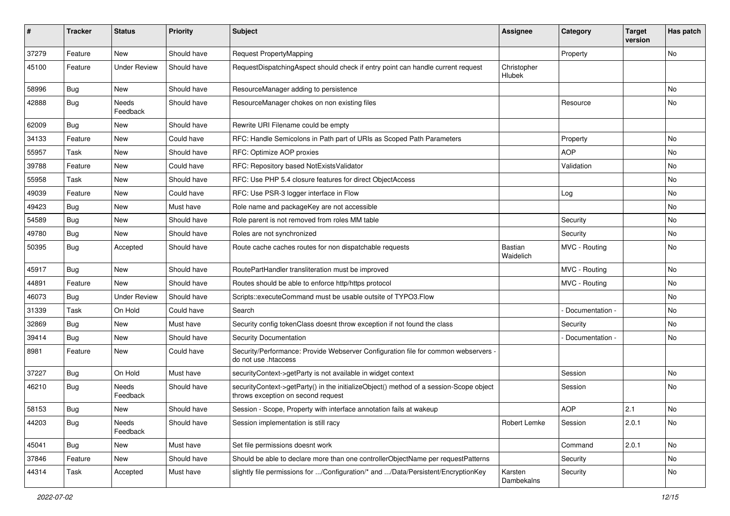| ∦     | <b>Tracker</b> | <b>Status</b>       | <b>Priority</b> | <b>Subject</b>                                                                                                               | Assignee              | Category        | <b>Target</b><br>version | Has patch |
|-------|----------------|---------------------|-----------------|------------------------------------------------------------------------------------------------------------------------------|-----------------------|-----------------|--------------------------|-----------|
| 37279 | Feature        | <b>New</b>          | Should have     | Request PropertyMapping                                                                                                      |                       | Property        |                          | No        |
| 45100 | Feature        | <b>Under Review</b> | Should have     | RequestDispatchingAspect should check if entry point can handle current request                                              | Christopher<br>Hlubek |                 |                          |           |
| 58996 | Bug            | <b>New</b>          | Should have     | ResourceManager adding to persistence                                                                                        |                       |                 |                          | No        |
| 42888 | Bug            | Needs<br>Feedback   | Should have     | ResourceManager chokes on non existing files                                                                                 |                       | Resource        |                          | No        |
| 62009 | Bug            | <b>New</b>          | Should have     | Rewrite URI Filename could be empty                                                                                          |                       |                 |                          |           |
| 34133 | Feature        | <b>New</b>          | Could have      | RFC: Handle Semicolons in Path part of URIs as Scoped Path Parameters                                                        |                       | Property        |                          | No        |
| 55957 | Task           | <b>New</b>          | Should have     | RFC: Optimize AOP proxies                                                                                                    |                       | <b>AOP</b>      |                          | No        |
| 39788 | Feature        | <b>New</b>          | Could have      | RFC: Repository based NotExistsValidator                                                                                     |                       | Validation      |                          | No        |
| 55958 | Task           | <b>New</b>          | Should have     | RFC: Use PHP 5.4 closure features for direct ObjectAccess                                                                    |                       |                 |                          | No        |
| 49039 | Feature        | <b>New</b>          | Could have      | RFC: Use PSR-3 logger interface in Flow                                                                                      |                       | Log             |                          | No        |
| 49423 | <b>Bug</b>     | New                 | Must have       | Role name and packageKey are not accessible                                                                                  |                       |                 |                          | No        |
| 54589 | Bug            | <b>New</b>          | Should have     | Role parent is not removed from roles MM table                                                                               |                       | Security        |                          | No        |
| 49780 | <b>Bug</b>     | New                 | Should have     | Roles are not synchronized                                                                                                   |                       | Security        |                          | No        |
| 50395 | <b>Bug</b>     | Accepted            | Should have     | Route cache caches routes for non dispatchable requests                                                                      | Bastian<br>Waidelich  | MVC - Routing   |                          | No        |
| 45917 | <b>Bug</b>     | <b>New</b>          | Should have     | RoutePartHandler transliteration must be improved                                                                            |                       | MVC - Routing   |                          | No.       |
| 44891 | Feature        | <b>New</b>          | Should have     | Routes should be able to enforce http/https protocol                                                                         |                       | MVC - Routing   |                          | No        |
| 46073 | Bug            | <b>Under Review</b> | Should have     | Scripts::executeCommand must be usable outsite of TYPO3.Flow                                                                 |                       |                 |                          | No        |
| 31339 | Task           | On Hold             | Could have      | Search                                                                                                                       |                       | Documentation - |                          | No        |
| 32869 | Bug            | <b>New</b>          | Must have       | Security config tokenClass doesnt throw exception if not found the class                                                     |                       | Security        |                          | No        |
| 39414 | <b>Bug</b>     | <b>New</b>          | Should have     | Security Documentation                                                                                                       |                       | Documentation - |                          | No        |
| 8981  | Feature        | <b>New</b>          | Could have      | Security/Performance: Provide Webserver Configuration file for common webservers -<br>do not use .htaccess                   |                       |                 |                          |           |
| 37227 | Bug            | On Hold             | Must have       | securityContext->getParty is not available in widget context                                                                 |                       | Session         |                          | No        |
| 46210 | <b>Bug</b>     | Needs<br>Feedback   | Should have     | securityContext->getParty() in the initializeObject() method of a session-Scope object<br>throws exception on second request |                       | Session         |                          | No        |
| 58153 | Bug            | <b>New</b>          | Should have     | Session - Scope, Property with interface annotation fails at wakeup                                                          |                       | <b>AOP</b>      | 2.1                      | No        |
| 44203 | <b>Bug</b>     | Needs<br>Feedback   | Should have     | Session implementation is still racy                                                                                         | Robert Lemke          | Session         | 2.0.1                    | No        |
| 45041 | Bug            | New                 | Must have       | Set file permissions doesnt work                                                                                             |                       | Command         | 2.0.1                    | No        |
| 37846 | Feature        | New                 | Should have     | Should be able to declare more than one controllerObjectName per requestPatterns                                             |                       | Security        |                          | No        |
| 44314 | Task           | Accepted            | Must have       | slightly file permissions for /Configuration/* and /Data/Persistent/EncryptionKey                                            | Karsten<br>Dambekalns | Security        |                          | No        |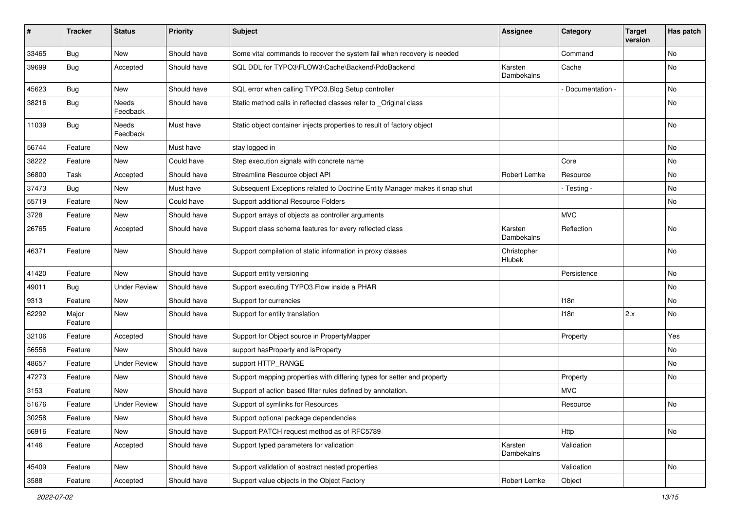| ∦     | <b>Tracker</b>   | <b>Status</b>       | <b>Priority</b> | <b>Subject</b>                                                              | Assignee              | Category        | <b>Target</b><br>version | Has patch |
|-------|------------------|---------------------|-----------------|-----------------------------------------------------------------------------|-----------------------|-----------------|--------------------------|-----------|
| 33465 | <b>Bug</b>       | New                 | Should have     | Some vital commands to recover the system fail when recovery is needed      |                       | Command         |                          | No        |
| 39699 | <b>Bug</b>       | Accepted            | Should have     | SQL DDL for TYPO3\FLOW3\Cache\Backend\PdoBackend                            | Karsten<br>Dambekalns | Cache           |                          | No        |
| 45623 | Bug              | New                 | Should have     | SQL error when calling TYPO3. Blog Setup controller                         |                       | Documentation - |                          | No        |
| 38216 | Bug              | Needs<br>Feedback   | Should have     | Static method calls in reflected classes refer to _Original class           |                       |                 |                          | No        |
| 11039 | <b>Bug</b>       | Needs<br>Feedback   | Must have       | Static object container injects properties to result of factory object      |                       |                 |                          | <b>No</b> |
| 56744 | Feature          | New                 | Must have       | stay logged in                                                              |                       |                 |                          | <b>No</b> |
| 38222 | Feature          | New                 | Could have      | Step execution signals with concrete name                                   |                       | Core            |                          | No        |
| 36800 | Task             | Accepted            | Should have     | Streamline Resource object API                                              | Robert Lemke          | Resource        |                          | No        |
| 37473 | Bug              | New                 | Must have       | Subsequent Exceptions related to Doctrine Entity Manager makes it snap shut |                       | - Testing -     |                          | No        |
| 55719 | Feature          | New                 | Could have      | Support additional Resource Folders                                         |                       |                 |                          | No        |
| 3728  | Feature          | New                 | Should have     | Support arrays of objects as controller arguments                           |                       | <b>MVC</b>      |                          |           |
| 26765 | Feature          | Accepted            | Should have     | Support class schema features for every reflected class                     | Karsten<br>Dambekalns | Reflection      |                          | No        |
| 46371 | Feature          | New                 | Should have     | Support compilation of static information in proxy classes                  | Christopher<br>Hlubek |                 |                          | No        |
| 41420 | Feature          | New                 | Should have     | Support entity versioning                                                   |                       | Persistence     |                          | No        |
| 49011 | Bug              | <b>Under Review</b> | Should have     | Support executing TYPO3.Flow inside a PHAR                                  |                       |                 |                          | No        |
| 9313  | Feature          | <b>New</b>          | Should have     | Support for currencies                                                      |                       | 118n            |                          | No        |
| 62292 | Major<br>Feature | New                 | Should have     | Support for entity translation                                              |                       | 118n            | 2.x                      | No        |
| 32106 | Feature          | Accepted            | Should have     | Support for Object source in PropertyMapper                                 |                       | Property        |                          | Yes       |
| 56556 | Feature          | <b>New</b>          | Should have     | support has Property and is Property                                        |                       |                 |                          | No        |
| 48657 | Feature          | <b>Under Review</b> | Should have     | support HTTP_RANGE                                                          |                       |                 |                          | No        |
| 47273 | Feature          | New                 | Should have     | Support mapping properties with differing types for setter and property     |                       | Property        |                          | No        |
| 3153  | Feature          | <b>New</b>          | Should have     | Support of action based filter rules defined by annotation.                 |                       | <b>MVC</b>      |                          |           |
| 51676 | Feature          | <b>Under Review</b> | Should have     | Support of symlinks for Resources                                           |                       | Resource        |                          | No        |
| 30258 | Feature          | New                 | Should have     | Support optional package dependencies                                       |                       |                 |                          |           |
| 56916 | Feature          | New                 | Should have     | Support PATCH request method as of RFC5789                                  |                       | Http            |                          | No        |
| 4146  | Feature          | Accepted            | Should have     | Support typed parameters for validation                                     | Karsten<br>Dambekalns | Validation      |                          |           |
| 45409 | Feature          | New                 | Should have     | Support validation of abstract nested properties                            |                       | Validation      |                          | No        |
| 3588  | Feature          | Accepted            | Should have     | Support value objects in the Object Factory                                 | Robert Lemke          | Object          |                          |           |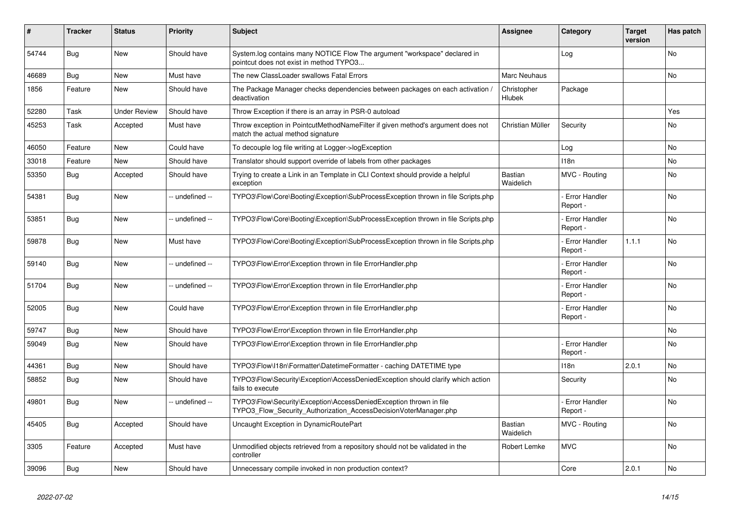| #     | <b>Tracker</b> | <b>Status</b>       | <b>Priority</b> | <b>Subject</b>                                                                                                                         | <b>Assignee</b>             | Category                         | <b>Target</b><br>version | Has patch |
|-------|----------------|---------------------|-----------------|----------------------------------------------------------------------------------------------------------------------------------------|-----------------------------|----------------------------------|--------------------------|-----------|
| 54744 | <b>Bug</b>     | <b>New</b>          | Should have     | System.log contains many NOTICE Flow The argument "workspace" declared in<br>pointcut does not exist in method TYPO3                   |                             | Log                              |                          | <b>No</b> |
| 46689 | Bug            | <b>New</b>          | Must have       | The new ClassLoader swallows Fatal Errors                                                                                              | Marc Neuhaus                |                                  |                          | <b>No</b> |
| 1856  | Feature        | <b>New</b>          | Should have     | The Package Manager checks dependencies between packages on each activation,<br>deactivation                                           | Christopher<br>Hlubek       | Package                          |                          |           |
| 52280 | Task           | <b>Under Review</b> | Should have     | Throw Exception if there is an array in PSR-0 autoload                                                                                 |                             |                                  |                          | Yes       |
| 45253 | Task           | Accepted            | Must have       | Throw exception in PointcutMethodNameFilter if given method's argument does not<br>match the actual method signature                   | Christian Müller            | Security                         |                          | <b>No</b> |
| 46050 | Feature        | <b>New</b>          | Could have      | To decouple log file writing at Logger->logException                                                                                   |                             | Log                              |                          | No        |
| 33018 | Feature        | <b>New</b>          | Should have     | Translator should support override of labels from other packages                                                                       |                             | 118n                             |                          | No        |
| 53350 | Bug            | Accepted            | Should have     | Trying to create a Link in an Template in CLI Context should provide a helpful<br>exception                                            | Bastian<br>Waidelich        | MVC - Routing                    |                          | No        |
| 54381 | Bug            | <b>New</b>          | -- undefined -- | TYPO3\Flow\Core\Booting\Exception\SubProcessException thrown in file Scripts.php                                                       |                             | Error Handler<br>Report -        |                          | <b>No</b> |
| 53851 | Bug            | <b>New</b>          | -- undefined -- | TYPO3\Flow\Core\Booting\Exception\SubProcessException thrown in file Scripts.php                                                       |                             | <b>Error Handler</b><br>Report - |                          | <b>No</b> |
| 59878 | <b>Bug</b>     | <b>New</b>          | Must have       | TYPO3\Flow\Core\Booting\Exception\SubProcessException thrown in file Scripts.php                                                       |                             | <b>Error Handler</b><br>Report - | 1.1.1                    | No        |
| 59140 | Bug            | New                 | -- undefined -- | TYPO3\Flow\Error\Exception thrown in file ErrorHandler.php                                                                             |                             | <b>Error Handler</b><br>Report - |                          | No        |
| 51704 | Bug            | <b>New</b>          | -- undefined -- | TYPO3\Flow\Error\Exception thrown in file ErrorHandler.php                                                                             |                             | <b>Error Handler</b><br>Report - |                          | <b>No</b> |
| 52005 | Bug            | New                 | Could have      | TYPO3\Flow\Error\Exception thrown in file ErrorHandler.php                                                                             |                             | <b>Error Handler</b><br>Report - |                          | <b>No</b> |
| 59747 | <b>Bug</b>     | New                 | Should have     | TYPO3\Flow\Error\Exception thrown in file ErrorHandler.php                                                                             |                             |                                  |                          | <b>No</b> |
| 59049 | Bug            | New                 | Should have     | TYPO3\Flow\Error\Exception thrown in file ErrorHandler.php                                                                             |                             | Error Handler<br>Report -        |                          | <b>No</b> |
| 44361 | Bug            | <b>New</b>          | Should have     | TYPO3\Flow\I18n\Formatter\DatetimeFormatter - caching DATETIME type                                                                    |                             | 118n                             | 2.0.1                    | <b>No</b> |
| 58852 | Bug            | New                 | Should have     | TYPO3\Flow\Security\Exception\AccessDeniedException should clarify which action<br>fails to execute                                    |                             | Security                         |                          | <b>No</b> |
| 49801 | Bug            | <b>New</b>          | -- undefined -- | TYPO3\Flow\Security\Exception\AccessDeniedException thrown in file<br>TYPO3 Flow Security Authorization AccessDecisionVoterManager.php |                             | Error Handler<br>Report -        |                          | No        |
| 45405 | <b>Bug</b>     | Accepted            | Should have     | Uncaught Exception in DynamicRoutePart                                                                                                 | <b>Bastian</b><br>Waidelich | MVC - Routing                    |                          | <b>No</b> |
| 3305  | Feature        | Accepted            | Must have       | Unmodified objects retrieved from a repository should not be validated in the<br>controller                                            | Robert Lemke                | <b>MVC</b>                       |                          | <b>No</b> |
| 39096 | Bug            | New                 | Should have     | Unnecessary compile invoked in non production context?                                                                                 |                             | Core                             | 2.0.1                    | No        |